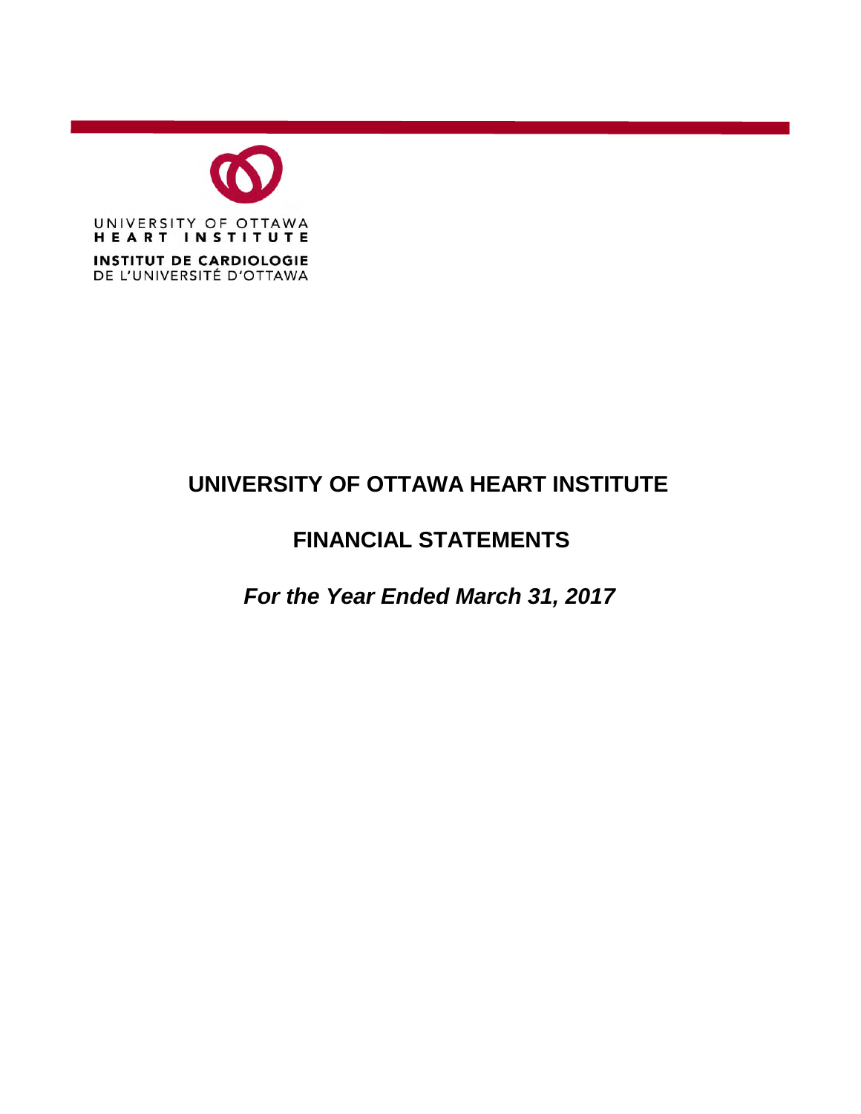

# **UNIVERSITY OF OTTAWA HEART INSTITUTE**

# **FINANCIAL STATEMENTS**

*For the Year Ended March 31, 2017*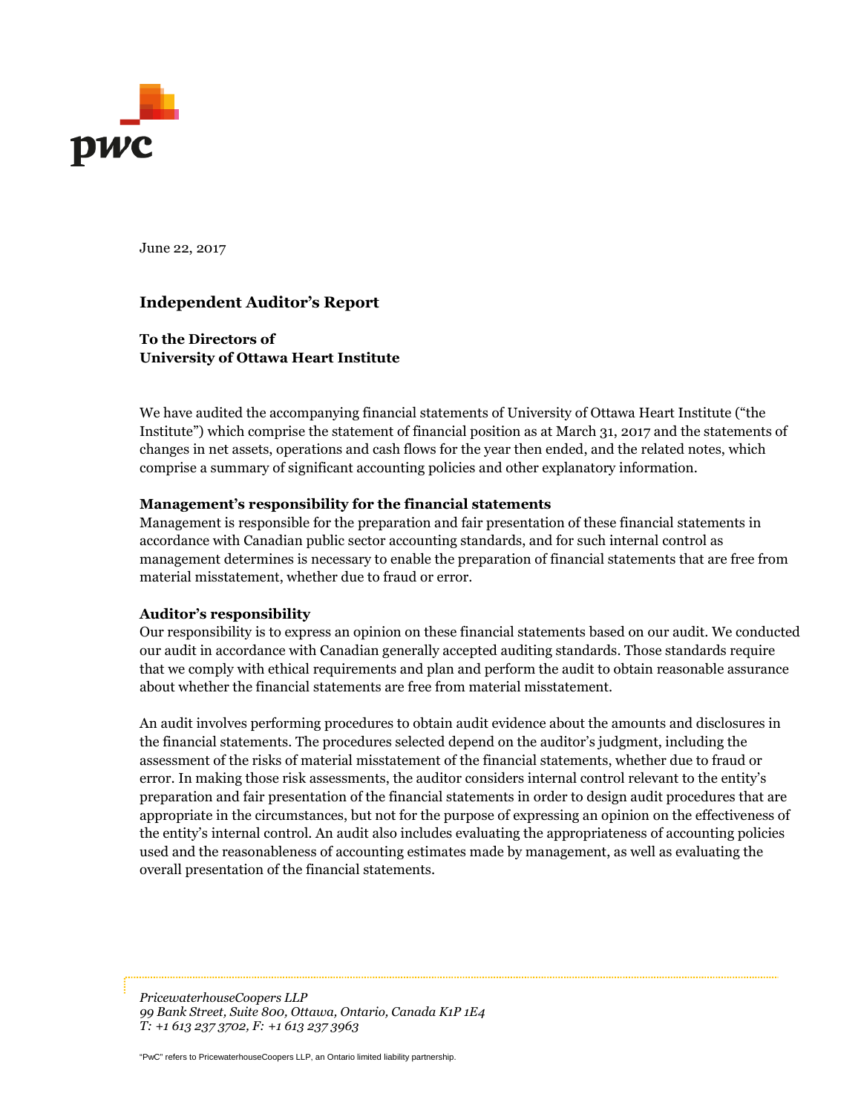

June 22, 2017

## **Independent Auditor's Report**

#### **To the Directors of University of Ottawa Heart Institute**

We have audited the accompanying financial statements of University of Ottawa Heart Institute ("the Institute") which comprise the statement of financial position as at March 31, 2017 and the statements of changes in net assets, operations and cash flows for the year then ended, and the related notes, which comprise a summary of significant accounting policies and other explanatory information.

#### **Management's responsibility for the financial statements**

Management is responsible for the preparation and fair presentation of these financial statements in accordance with Canadian public sector accounting standards, and for such internal control as management determines is necessary to enable the preparation of financial statements that are free from material misstatement, whether due to fraud or error.

#### **Auditor's responsibility**

Our responsibility is to express an opinion on these financial statements based on our audit. We conducted our audit in accordance with Canadian generally accepted auditing standards. Those standards require that we comply with ethical requirements and plan and perform the audit to obtain reasonable assurance about whether the financial statements are free from material misstatement.

An audit involves performing procedures to obtain audit evidence about the amounts and disclosures in the financial statements. The procedures selected depend on the auditor's judgment, including the assessment of the risks of material misstatement of the financial statements, whether due to fraud or error. In making those risk assessments, the auditor considers internal control relevant to the entity's preparation and fair presentation of the financial statements in order to design audit procedures that are appropriate in the circumstances, but not for the purpose of expressing an opinion on the effectiveness of the entity's internal control. An audit also includes evaluating the appropriateness of accounting policies used and the reasonableness of accounting estimates made by management, as well as evaluating the overall presentation of the financial statements.

*PricewaterhouseCoopers LLP 99 Bank Street, Suite 800, Ottawa, Ontario, Canada K1P 1E4 T: +1 613 237 3702, F: +1 613 237 3963*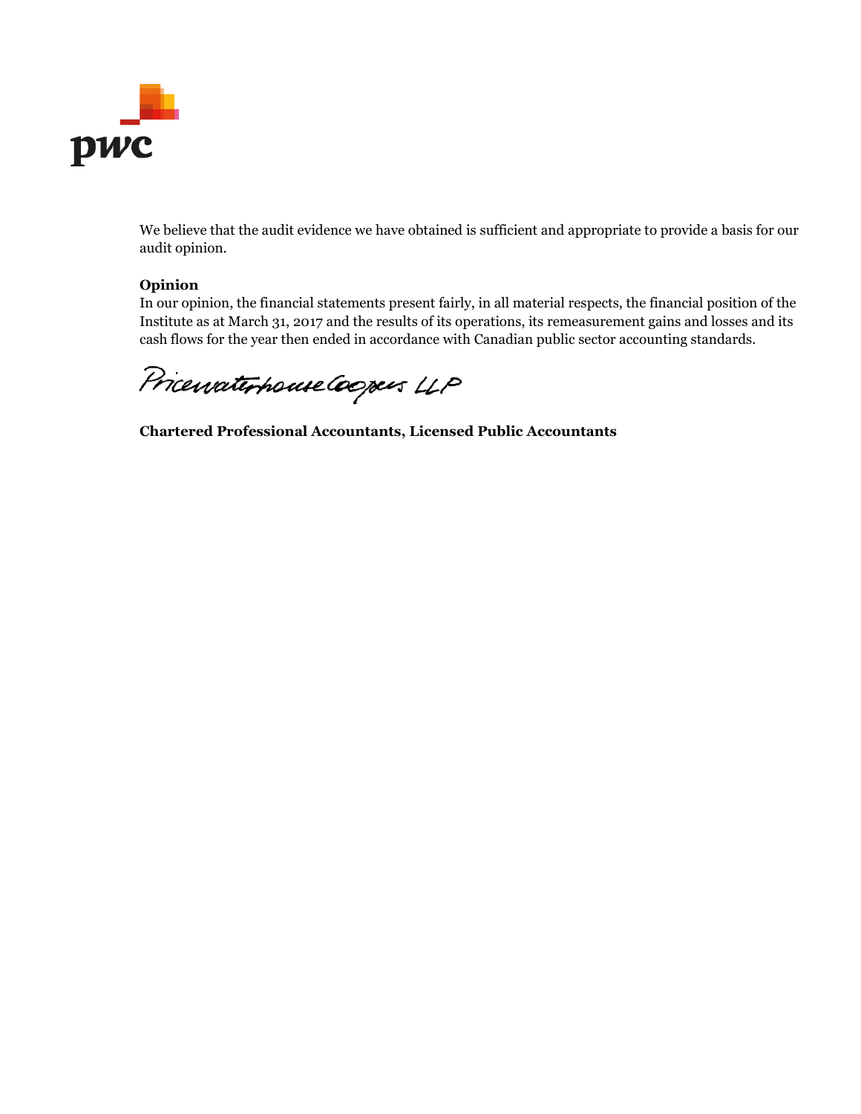

We believe that the audit evidence we have obtained is sufficient and appropriate to provide a basis for our audit opinion.

#### **Opinion**

In our opinion, the financial statements present fairly, in all material respects, the financial position of the Institute as at March 31, 2017 and the results of its operations, its remeasurement gains and losses and its cash flows for the year then ended in accordance with Canadian public sector accounting standards.

Pricewaterhouse Coopers LLP

**Chartered Professional Accountants, Licensed Public Accountants**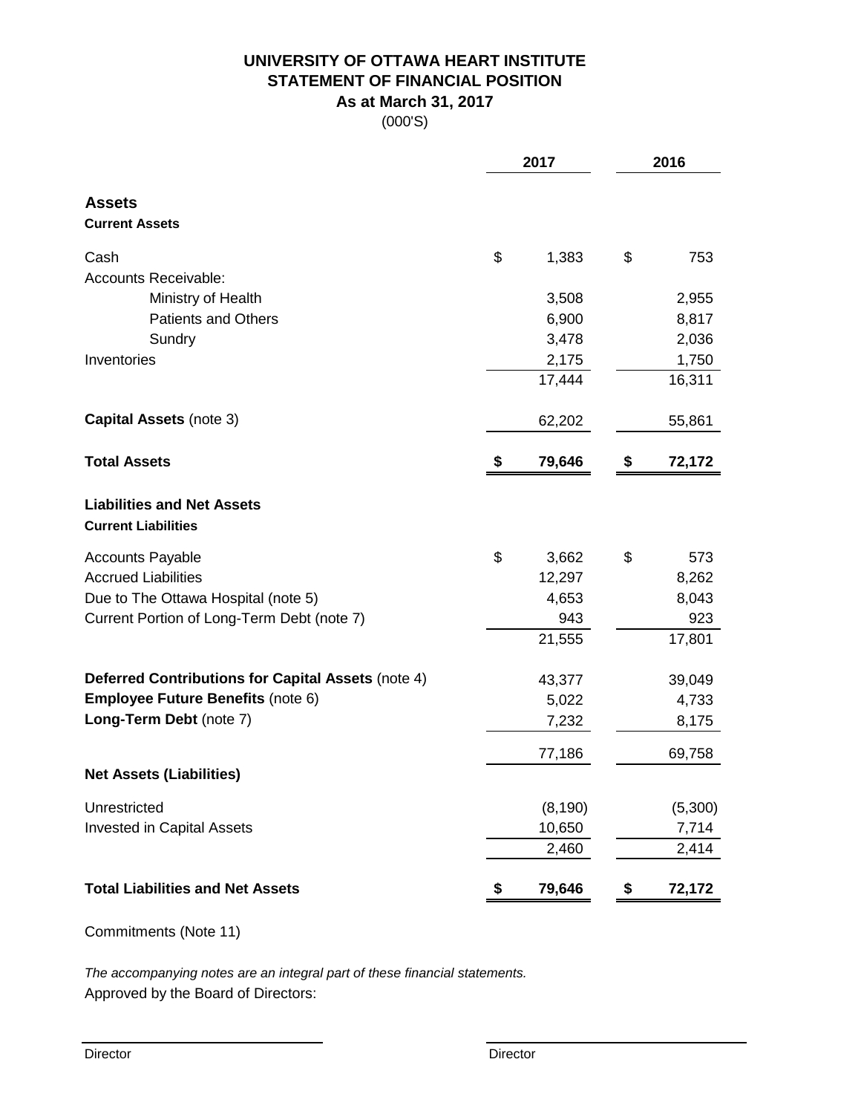## **UNIVERSITY OF OTTAWA HEART INSTITUTE STATEMENT OF FINANCIAL POSITION As at March 31, 2017**

(000'S)

|                                                                 | 2017 |          | 2016 |         |
|-----------------------------------------------------------------|------|----------|------|---------|
| <b>Assets</b><br><b>Current Assets</b>                          |      |          |      |         |
|                                                                 |      |          |      |         |
| Cash                                                            | \$   | 1,383    | \$   | 753     |
| <b>Accounts Receivable:</b>                                     |      |          |      |         |
| Ministry of Health                                              |      | 3,508    |      | 2,955   |
| <b>Patients and Others</b>                                      |      | 6,900    |      | 8,817   |
| Sundry                                                          |      | 3,478    |      | 2,036   |
| Inventories                                                     |      | 2,175    |      | 1,750   |
|                                                                 |      | 17,444   |      | 16,311  |
| Capital Assets (note 3)                                         |      | 62,202   |      | 55,861  |
| <b>Total Assets</b>                                             | \$   | 79,646   | \$   | 72,172  |
|                                                                 |      |          |      |         |
| <b>Liabilities and Net Assets</b><br><b>Current Liabilities</b> |      |          |      |         |
| <b>Accounts Payable</b>                                         | \$   | 3,662    | \$   | 573     |
| <b>Accrued Liabilities</b>                                      |      | 12,297   |      | 8,262   |
| Due to The Ottawa Hospital (note 5)                             |      | 4,653    |      | 8,043   |
| Current Portion of Long-Term Debt (note 7)                      |      | 943      |      | 923     |
|                                                                 |      | 21,555   |      | 17,801  |
| <b>Deferred Contributions for Capital Assets (note 4)</b>       |      | 43,377   |      | 39,049  |
| <b>Employee Future Benefits (note 6)</b>                        |      | 5,022    |      | 4,733   |
| Long-Term Debt (note 7)                                         |      | 7,232    |      | 8,175   |
|                                                                 |      | 77,186   |      | 69,758  |
| <b>Net Assets (Liabilities)</b>                                 |      |          |      |         |
| Unrestricted                                                    |      | (8, 190) |      | (5,300) |
| <b>Invested in Capital Assets</b>                               |      | 10,650   |      | 7,714   |
|                                                                 |      | 2,460    |      | 2,414   |
| <b>Total Liabilities and Net Assets</b>                         | \$   | 79,646   | \$   | 72,172  |

Commitments (Note 11)

*The accompanying notes are an integral part of these financial statements.* Approved by the Board of Directors: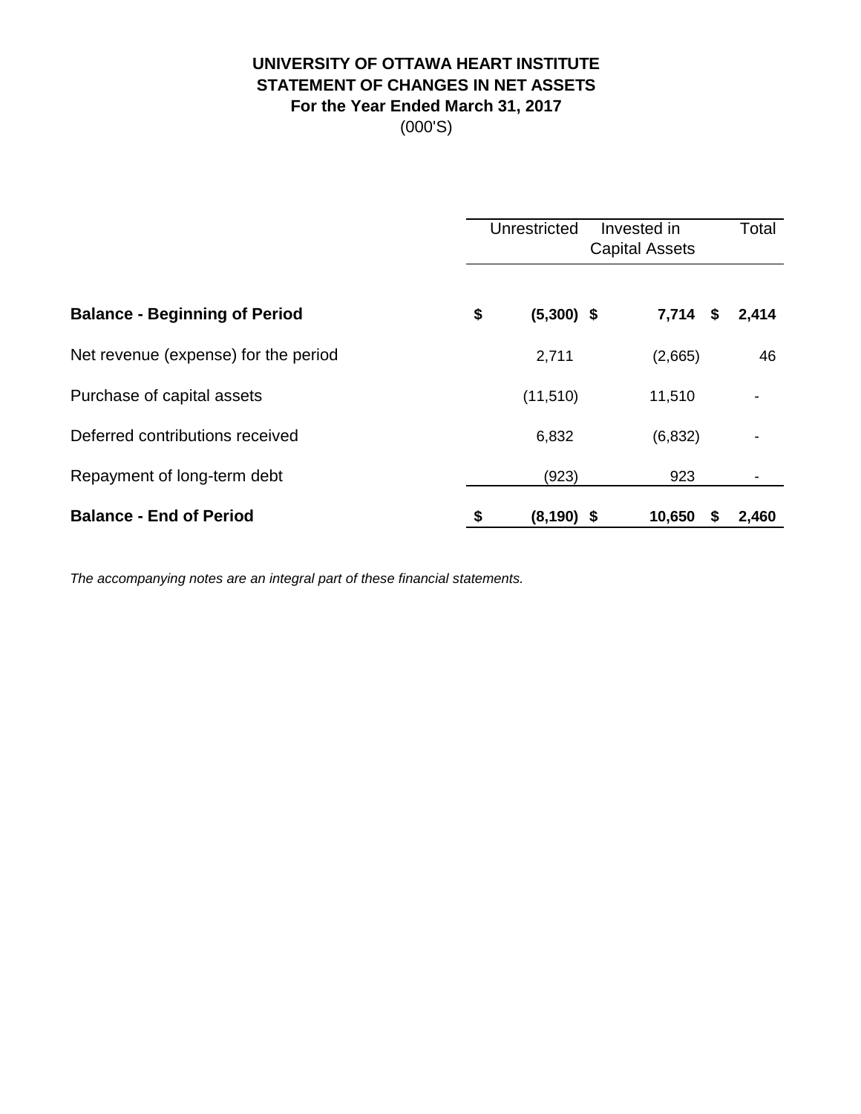## **UNIVERSITY OF OTTAWA HEART INSTITUTE STATEMENT OF CHANGES IN NET ASSETS For the Year Ended March 31, 2017**

(000'S)

|                                      | Unrestricted<br>Invested in<br><b>Capital Assets</b> |               |             | Total |  |
|--------------------------------------|------------------------------------------------------|---------------|-------------|-------|--|
| <b>Balance - Beginning of Period</b> | \$                                                   | $(5,300)$ \$  | 7,714<br>S. | 2,414 |  |
| Net revenue (expense) for the period |                                                      | 2,711         | (2,665)     | 46    |  |
| Purchase of capital assets           |                                                      | (11, 510)     | 11,510      |       |  |
| Deferred contributions received      |                                                      | 6,832         | (6, 832)    |       |  |
| Repayment of long-term debt          |                                                      | (923)         | 923         |       |  |
| <b>Balance - End of Period</b>       | \$                                                   | $(8, 190)$ \$ | 10,650      | 2,460 |  |

*The accompanying notes are an integral part of these financial statements.*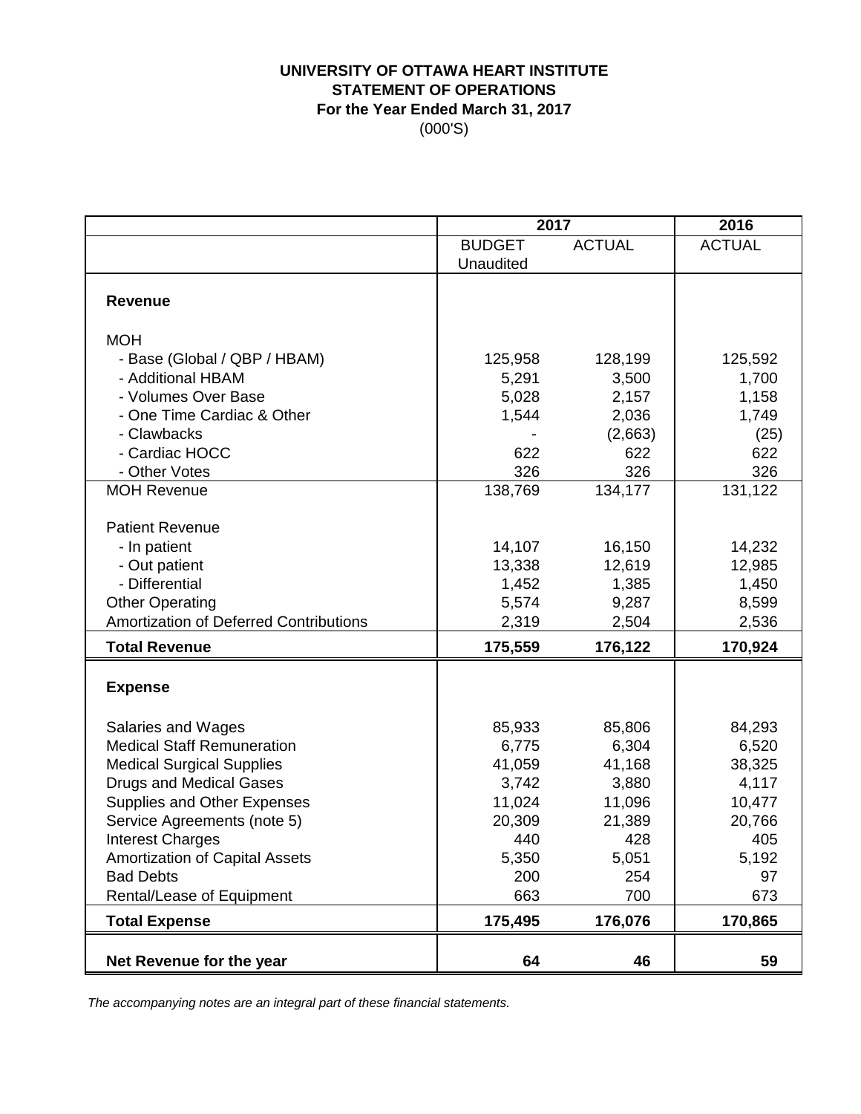## **UNIVERSITY OF OTTAWA HEART INSTITUTE STATEMENT OF OPERATIONS For the Year Ended March 31, 2017**

(000'S)

|                                        |               | 2017          |               |
|----------------------------------------|---------------|---------------|---------------|
|                                        | <b>BUDGET</b> | <b>ACTUAL</b> | <b>ACTUAL</b> |
|                                        | Unaudited     |               |               |
| <b>Revenue</b>                         |               |               |               |
|                                        |               |               |               |
| <b>MOH</b>                             |               |               |               |
| - Base (Global / QBP / HBAM)           | 125,958       | 128,199       | 125,592       |
| - Additional HBAM                      | 5,291         | 3,500         | 1,700         |
| - Volumes Over Base                    | 5,028         | 2,157         | 1,158         |
| - One Time Cardiac & Other             | 1,544         | 2,036         | 1,749         |
| - Clawbacks                            |               | (2,663)       | (25)          |
| - Cardiac HOCC                         | 622           | 622           | 622           |
| - Other Votes                          | 326           | 326           | 326           |
| <b>MOH Revenue</b>                     | 138,769       | 134,177       | 131,122       |
|                                        |               |               |               |
| <b>Patient Revenue</b>                 |               |               |               |
| - In patient                           | 14,107        | 16,150        | 14,232        |
| - Out patient                          | 13,338        | 12,619        | 12,985        |
| - Differential                         | 1,452         | 1,385         | 1,450         |
| <b>Other Operating</b>                 | 5,574         | 9,287         | 8,599         |
| Amortization of Deferred Contributions | 2,319         | 2,504         | 2,536         |
| <b>Total Revenue</b>                   | 175,559       | 176,122       | 170,924       |
|                                        |               |               |               |
| <b>Expense</b>                         |               |               |               |
| Salaries and Wages                     | 85,933        | 85,806        | 84,293        |
| <b>Medical Staff Remuneration</b>      | 6,775         | 6,304         | 6,520         |
| <b>Medical Surgical Supplies</b>       | 41,059        | 41,168        | 38,325        |
| <b>Drugs and Medical Gases</b>         | 3,742         | 3,880         | 4,117         |
| <b>Supplies and Other Expenses</b>     | 11,024        | 11,096        | 10,477        |
| Service Agreements (note 5)            | 20,309        | 21,389        | 20,766        |
| <b>Interest Charges</b>                | 440           | 428           | 405           |
| <b>Amortization of Capital Assets</b>  | 5,350         | 5,051         | 5,192         |
| <b>Bad Debts</b>                       | 200           | 254           | 97            |
| Rental/Lease of Equipment              | 663           | 700           | 673           |
| <b>Total Expense</b>                   | 175,495       | 176,076       | 170,865       |
|                                        |               |               |               |
| Net Revenue for the year               | 64            | 46            | 59            |

*The accompanying notes are an integral part of these financial statements.*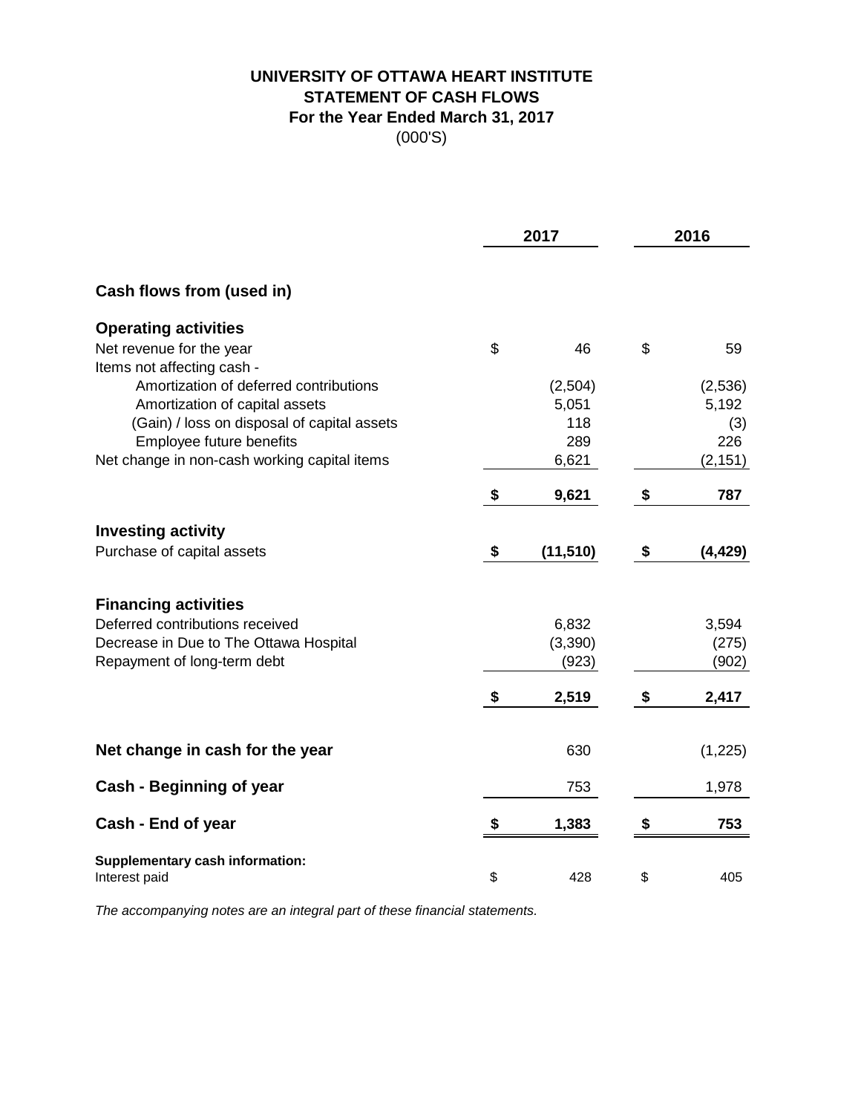## **UNIVERSITY OF OTTAWA HEART INSTITUTE STATEMENT OF CASH FLOWS For the Year Ended March 31, 2017** (000'S)

|                                                  | 2017            | 2016           |
|--------------------------------------------------|-----------------|----------------|
| Cash flows from (used in)                        |                 |                |
| <b>Operating activities</b>                      |                 |                |
| Net revenue for the year                         | \$<br>46        | \$<br>59       |
| Items not affecting cash -                       |                 |                |
| Amortization of deferred contributions           | (2,504)         | (2,536)        |
| Amortization of capital assets                   | 5,051           | 5,192          |
| (Gain) / loss on disposal of capital assets      | 118             | (3)            |
| Employee future benefits                         | 289             | 226            |
| Net change in non-cash working capital items     | 6,621           | (2, 151)       |
|                                                  | \$<br>9,621     | \$<br>787      |
| <b>Investing activity</b>                        |                 |                |
| Purchase of capital assets                       | \$<br>(11, 510) | \$<br>(4, 429) |
| <b>Financing activities</b>                      |                 |                |
| Deferred contributions received                  | 6,832           | 3,594          |
| Decrease in Due to The Ottawa Hospital           | (3,390)         | (275)          |
| Repayment of long-term debt                      | (923)           | (902)          |
|                                                  | \$<br>2,519     | \$<br>2,417    |
| Net change in cash for the year                  | 630             | (1, 225)       |
| Cash - Beginning of year                         | 753             | 1,978          |
| Cash - End of year                               | \$<br>1,383     | \$<br>753      |
| Supplementary cash information:<br>Interest paid | \$<br>428       | \$<br>405      |

*The accompanying notes are an integral part of these financial statements.*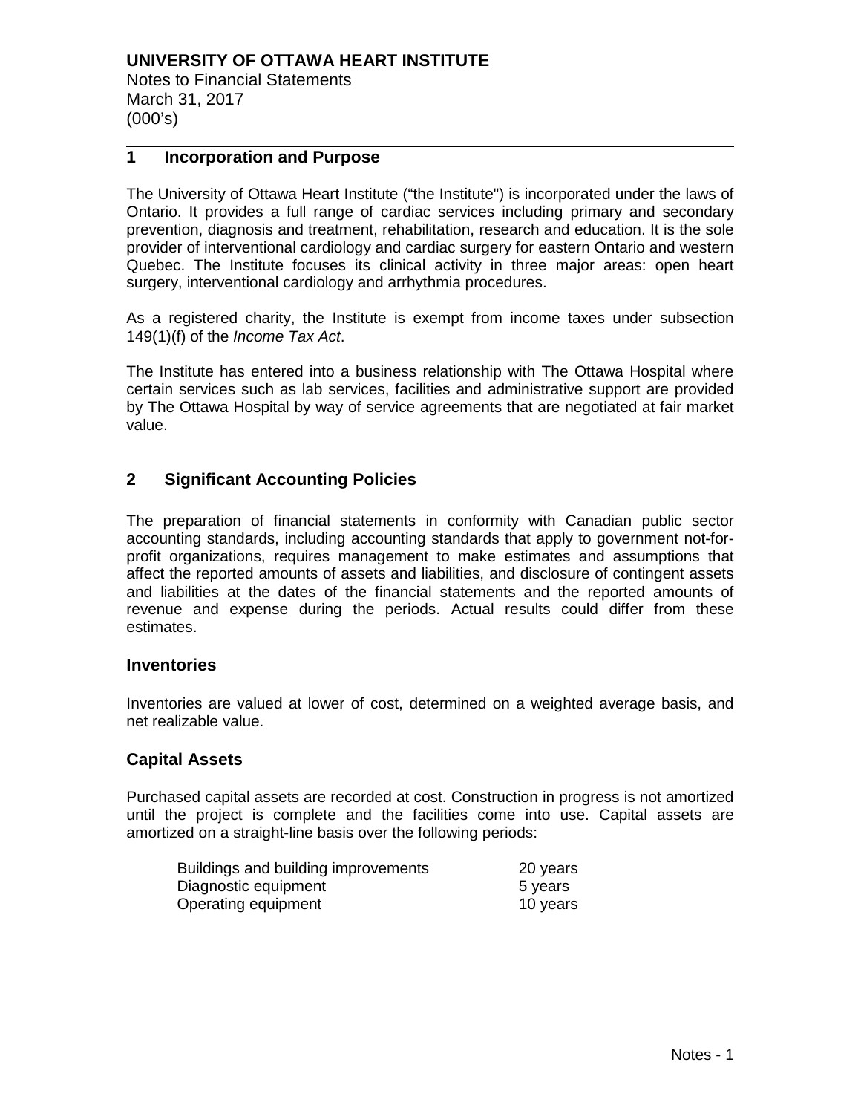#### **1 Incorporation and Purpose**

The University of Ottawa Heart Institute ("the Institute") is incorporated under the laws of Ontario. It provides a full range of cardiac services including primary and secondary prevention, diagnosis and treatment, rehabilitation, research and education. It is the sole provider of interventional cardiology and cardiac surgery for eastern Ontario and western Quebec. The Institute focuses its clinical activity in three major areas: open heart surgery, interventional cardiology and arrhythmia procedures.

As a registered charity, the Institute is exempt from income taxes under subsection 149(1)(f) of the *Income Tax Act*.

The Institute has entered into a business relationship with The Ottawa Hospital where certain services such as lab services, facilities and administrative support are provided by The Ottawa Hospital by way of service agreements that are negotiated at fair market value.

#### **2 Significant Accounting Policies**

The preparation of financial statements in conformity with Canadian public sector accounting standards, including accounting standards that apply to government not-forprofit organizations, requires management to make estimates and assumptions that affect the reported amounts of assets and liabilities, and disclosure of contingent assets and liabilities at the dates of the financial statements and the reported amounts of revenue and expense during the periods. Actual results could differ from these estimates.

#### **Inventories**

Inventories are valued at lower of cost, determined on a weighted average basis, and net realizable value.

#### **Capital Assets**

Purchased capital assets are recorded at cost. Construction in progress is not amortized until the project is complete and the facilities come into use. Capital assets are amortized on a straight-line basis over the following periods:

| Buildings and building improvements | 20 years |
|-------------------------------------|----------|
| Diagnostic equipment                | 5 years  |
| Operating equipment                 | 10 years |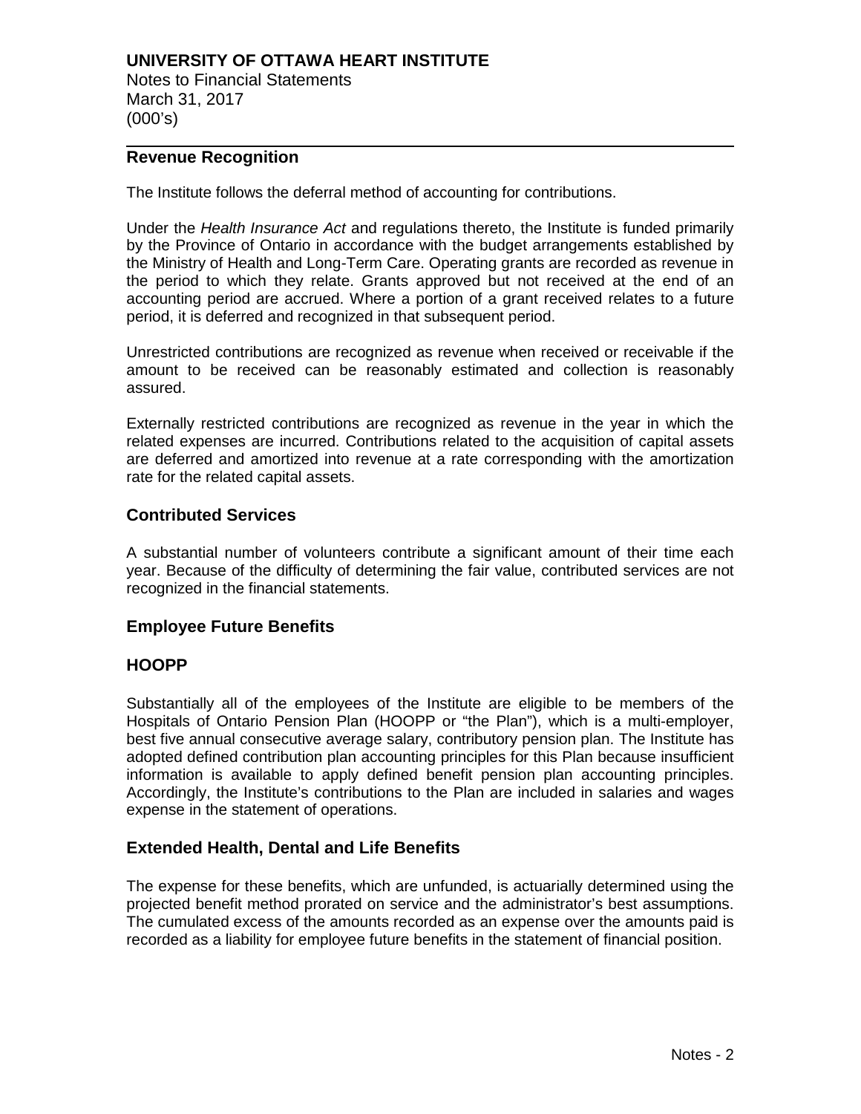#### **UNIVERSITY OF OTTAWA HEART INSTITUTE** Notes to Financial Statements March 31, 2017 (000's)

#### **Revenue Recognition**

The Institute follows the deferral method of accounting for contributions.

Under the *Health Insurance Act* and regulations thereto, the Institute is funded primarily by the Province of Ontario in accordance with the budget arrangements established by the Ministry of Health and Long-Term Care. Operating grants are recorded as revenue in the period to which they relate. Grants approved but not received at the end of an accounting period are accrued. Where a portion of a grant received relates to a future period, it is deferred and recognized in that subsequent period.

Unrestricted contributions are recognized as revenue when received or receivable if the amount to be received can be reasonably estimated and collection is reasonably assured.

Externally restricted contributions are recognized as revenue in the year in which the related expenses are incurred. Contributions related to the acquisition of capital assets are deferred and amortized into revenue at a rate corresponding with the amortization rate for the related capital assets.

#### **Contributed Services**

A substantial number of volunteers contribute a significant amount of their time each year. Because of the difficulty of determining the fair value, contributed services are not recognized in the financial statements.

#### **Employee Future Benefits**

#### **HOOPP**

Substantially all of the employees of the Institute are eligible to be members of the Hospitals of Ontario Pension Plan (HOOPP or "the Plan"), which is a multi-employer, best five annual consecutive average salary, contributory pension plan. The Institute has adopted defined contribution plan accounting principles for this Plan because insufficient information is available to apply defined benefit pension plan accounting principles. Accordingly, the Institute's contributions to the Plan are included in salaries and wages expense in the statement of operations.

#### **Extended Health, Dental and Life Benefits**

The expense for these benefits, which are unfunded, is actuarially determined using the projected benefit method prorated on service and the administrator's best assumptions. The cumulated excess of the amounts recorded as an expense over the amounts paid is recorded as a liability for employee future benefits in the statement of financial position.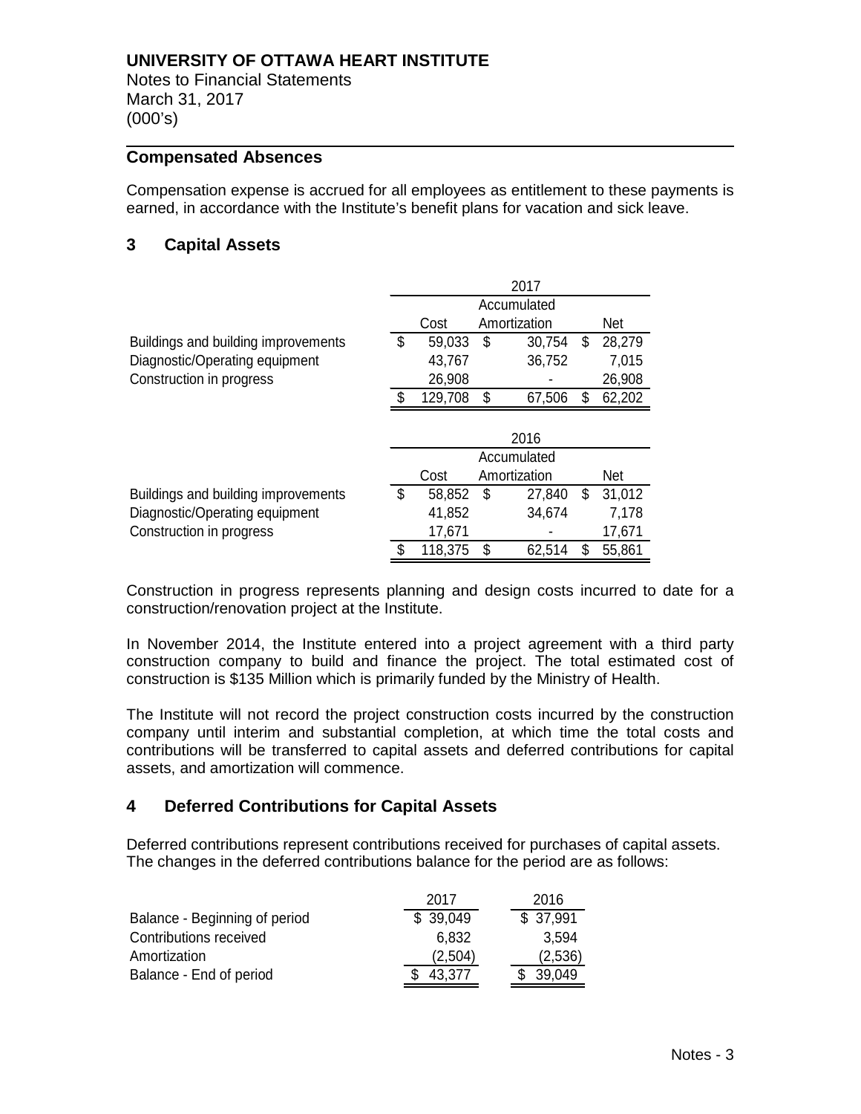Notes to Financial Statements March 31, 2017 (000's)

## **Compensated Absences**

Compensation expense is accrued for all employees as entitlement to these payments is earned, in accordance with the Institute's benefit plans for vacation and sick leave.

## **3 Capital Assets**

|                                     | 2017 |         |    |              |     |            |
|-------------------------------------|------|---------|----|--------------|-----|------------|
|                                     |      |         |    | Accumulated  |     |            |
|                                     |      | Cost    |    | Amortization |     | Net        |
| Buildings and building improvements | \$   | 59,033  | \$ | 30,754       | S.  | 28,279     |
| Diagnostic/Operating equipment      |      | 43,767  |    | 36,752       |     | 7,015      |
| Construction in progress            |      | 26,908  |    |              |     | 26,908     |
|                                     |      | 129,708 | \$ | 67,506       | \$  | 62,202     |
|                                     |      |         |    |              |     |            |
|                                     |      |         |    | 2016         |     |            |
|                                     |      |         |    | Accumulated  |     |            |
|                                     |      | Cost    |    | Amortization |     | <b>Net</b> |
| Buildings and building improvements | \$   | 58,852  | S  | 27,840       | \$. | 31,012     |
| Diagnostic/Operating equipment      |      | 41,852  |    | 34,674       |     | 7,178      |
| Construction in progress            |      | 17,671  |    |              |     | 17,671     |
|                                     | \$   | 118,375 | \$ | 62,514       | \$  | 55,861     |

Construction in progress represents planning and design costs incurred to date for a construction/renovation project at the Institute.

In November 2014, the Institute entered into a project agreement with a third party construction company to build and finance the project. The total estimated cost of construction is \$135 Million which is primarily funded by the Ministry of Health.

The Institute will not record the project construction costs incurred by the construction company until interim and substantial completion, at which time the total costs and contributions will be transferred to capital assets and deferred contributions for capital assets, and amortization will commence.

#### **4 Deferred Contributions for Capital Assets**

Deferred contributions represent contributions received for purchases of capital assets. The changes in the deferred contributions balance for the period are as follows:

|                               | 2017     | 2016     |
|-------------------------------|----------|----------|
| Balance - Beginning of period | \$39,049 | \$37,991 |
| Contributions received        | 6,832    | 3.594    |
| Amortization                  | (2,504)  | (2,536)  |
| Balance - End of period       | 43.377   | 39.049   |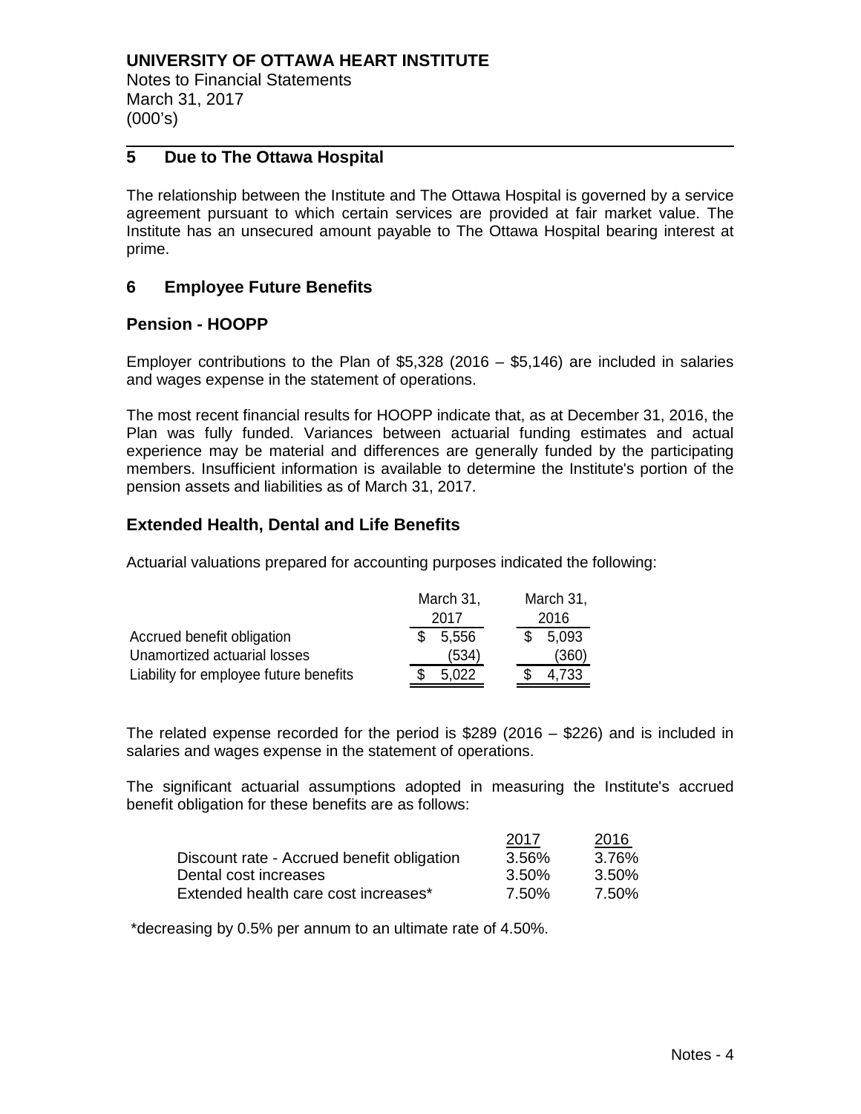## **5 Due to The Ottawa Hospital**

The relationship between the Institute and The Ottawa Hospital is governed by a service agreement pursuant to which certain services are provided at fair market value. The Institute has an unsecured amount payable to The Ottawa Hospital bearing interest at prime.

## **6 Employee Future Benefits**

#### **Pension - HOOPP**

Employer contributions to the Plan of  $$5,328$  (2016 –  $$5,146$ ) are included in salaries and wages expense in the statement of operations.

The most recent financial results for HOOPP indicate that, as at December 31, 2016, the Plan was fully funded. Variances between actuarial funding estimates and actual experience may be material and differences are generally funded by the participating members. Insufficient information is available to determine the Institute's portion of the pension assets and liabilities as of March 31, 2017.

## **Extended Health, Dental and Life Benefits**

Actuarial valuations prepared for accounting purposes indicated the following:

|                                        | March 31,<br>2017 | March 31,<br>2016 |
|----------------------------------------|-------------------|-------------------|
| Accrued benefit obligation             | 5.556             | 5,093             |
| Unamortized actuarial losses           | (534)             | (360)             |
| Liability for employee future benefits | 5.022             | 4,733             |

The related expense recorded for the period is \$289 (2016 – \$226) and is included in salaries and wages expense in the statement of operations.

The significant actuarial assumptions adopted in measuring the Institute's accrued benefit obligation for these benefits are as follows:

|                                            | 2017  | 2016  |
|--------------------------------------------|-------|-------|
| Discount rate - Accrued benefit obligation | 3.56% | 3.76% |
| Dental cost increases                      | 3.50% | 3.50% |
| Extended health care cost increases*       | 7.50% | 7.50% |

\*decreasing by 0.5% per annum to an ultimate rate of 4.50%.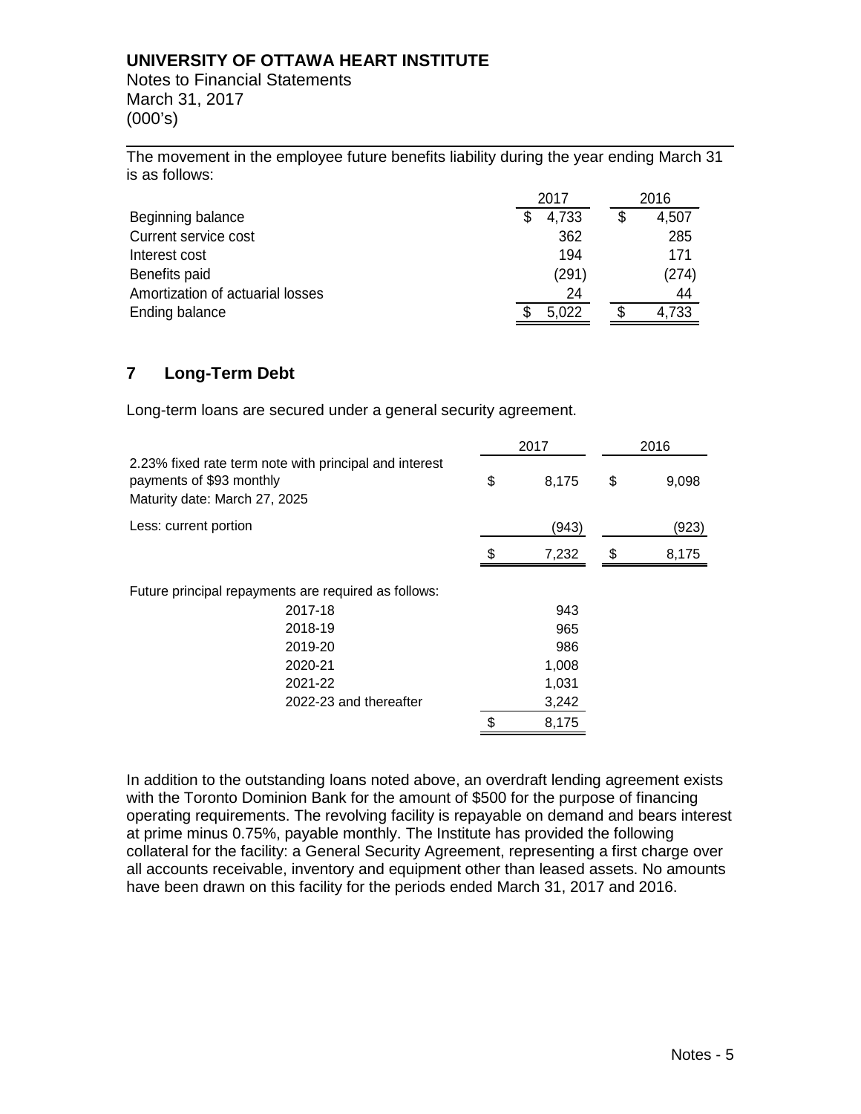## **UNIVERSITY OF OTTAWA HEART INSTITUTE**

Notes to Financial Statements March 31, 2017 (000's)

The movement in the employee future benefits liability during the year ending March 31 is as follows:

|                                  | 2017  |  | 2016  |  |
|----------------------------------|-------|--|-------|--|
| Beginning balance                | 4,733 |  | 4,507 |  |
| Current service cost             | 362   |  | 285   |  |
| Interest cost                    | 194   |  | 171   |  |
| Benefits paid                    | (291) |  | (274) |  |
| Amortization of actuarial losses | 24    |  | 44    |  |
| Ending balance                   | 5.022 |  | 4,733 |  |

## **7 Long-Term Debt**

Long-term loans are secured under a general security agreement.

|                                                                                                                     | 2017        | 2016        |
|---------------------------------------------------------------------------------------------------------------------|-------------|-------------|
| 2.23% fixed rate term note with principal and interest<br>payments of \$93 monthly<br>Maturity date: March 27, 2025 | \$<br>8,175 | \$<br>9,098 |
| Less: current portion                                                                                               | (943)       | (923)       |
|                                                                                                                     | 7,232       | \$<br>8,175 |
| Future principal repayments are required as follows:                                                                |             |             |
| 2017-18                                                                                                             | 943         |             |
| 2018-19                                                                                                             | 965         |             |
| 2019-20                                                                                                             | 986         |             |
| 2020-21                                                                                                             | 1,008       |             |
| 2021-22                                                                                                             | 1,031       |             |
| 2022-23 and thereafter                                                                                              | 3,242       |             |
|                                                                                                                     | \$<br>8,175 |             |

In addition to the outstanding loans noted above, an overdraft lending agreement exists with the Toronto Dominion Bank for the amount of \$500 for the purpose of financing operating requirements. The revolving facility is repayable on demand and bears interest at prime minus 0.75%, payable monthly. The Institute has provided the following collateral for the facility: a General Security Agreement, representing a first charge over all accounts receivable, inventory and equipment other than leased assets. No amounts have been drawn on this facility for the periods ended March 31, 2017 and 2016.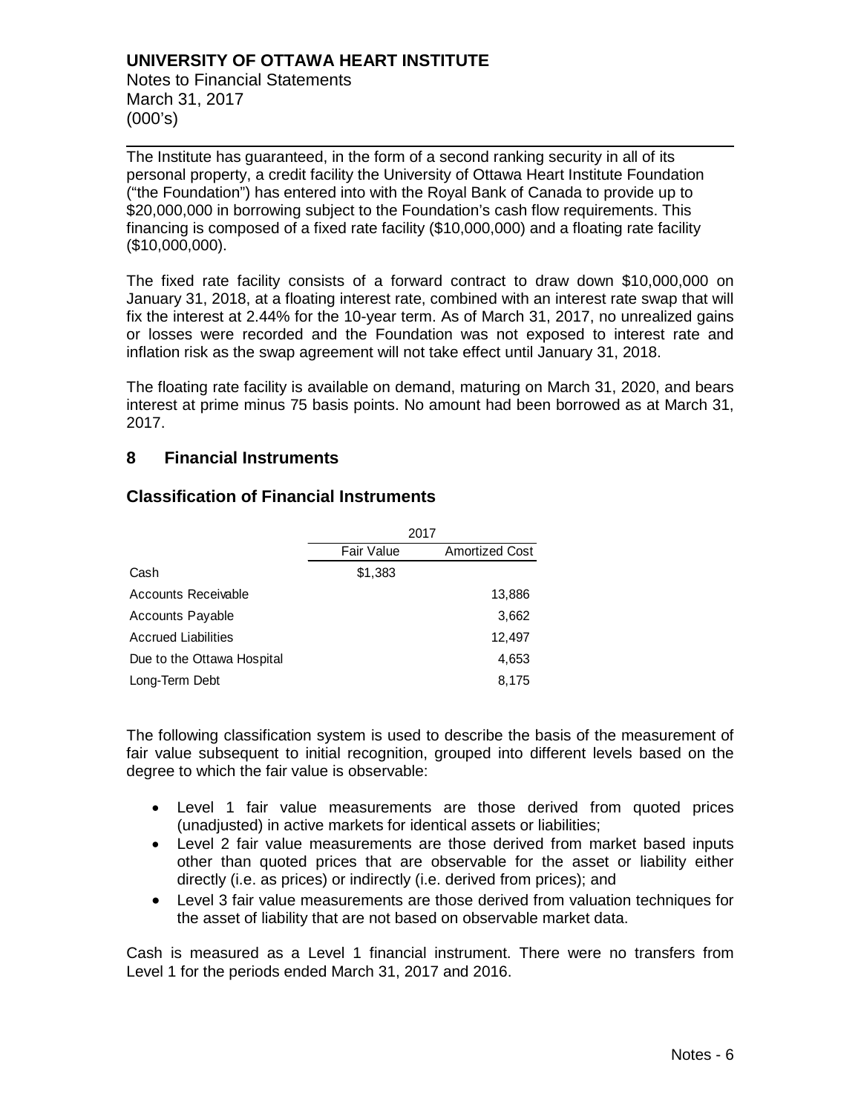## **UNIVERSITY OF OTTAWA HEART INSTITUTE**

Notes to Financial Statements March 31, 2017 (000's)

The Institute has guaranteed, in the form of a second ranking security in all of its personal property, a credit facility the University of Ottawa Heart Institute Foundation ("the Foundation") has entered into with the Royal Bank of Canada to provide up to \$20,000,000 in borrowing subject to the Foundation's cash flow requirements. This financing is composed of a fixed rate facility (\$10,000,000) and a floating rate facility (\$10,000,000).

The fixed rate facility consists of a forward contract to draw down \$10,000,000 on January 31, 2018, at a floating interest rate, combined with an interest rate swap that will fix the interest at 2.44% for the 10-year term. As of March 31, 2017, no unrealized gains or losses were recorded and the Foundation was not exposed to interest rate and inflation risk as the swap agreement will not take effect until January 31, 2018.

The floating rate facility is available on demand, maturing on March 31, 2020, and bears interest at prime minus 75 basis points. No amount had been borrowed as at March 31, 2017.

## **8 Financial Instruments**

#### **Classification of Financial Instruments**

|                            | 2017       |                       |
|----------------------------|------------|-----------------------|
|                            | Fair Value | <b>Amortized Cost</b> |
| Cash                       | \$1,383    |                       |
| Accounts Receivable        |            | 13,886                |
| <b>Accounts Payable</b>    |            | 3,662                 |
| <b>Accrued Liabilities</b> |            | 12,497                |
| Due to the Ottawa Hospital |            | 4,653                 |
| Long-Term Debt             |            | 8,175                 |

The following classification system is used to describe the basis of the measurement of fair value subsequent to initial recognition, grouped into different levels based on the degree to which the fair value is observable:

- Level 1 fair value measurements are those derived from quoted prices (unadjusted) in active markets for identical assets or liabilities;
- Level 2 fair value measurements are those derived from market based inputs other than quoted prices that are observable for the asset or liability either directly (i.e. as prices) or indirectly (i.e. derived from prices); and
- Level 3 fair value measurements are those derived from valuation techniques for the asset of liability that are not based on observable market data.

Cash is measured as a Level 1 financial instrument. There were no transfers from Level 1 for the periods ended March 31, 2017 and 2016.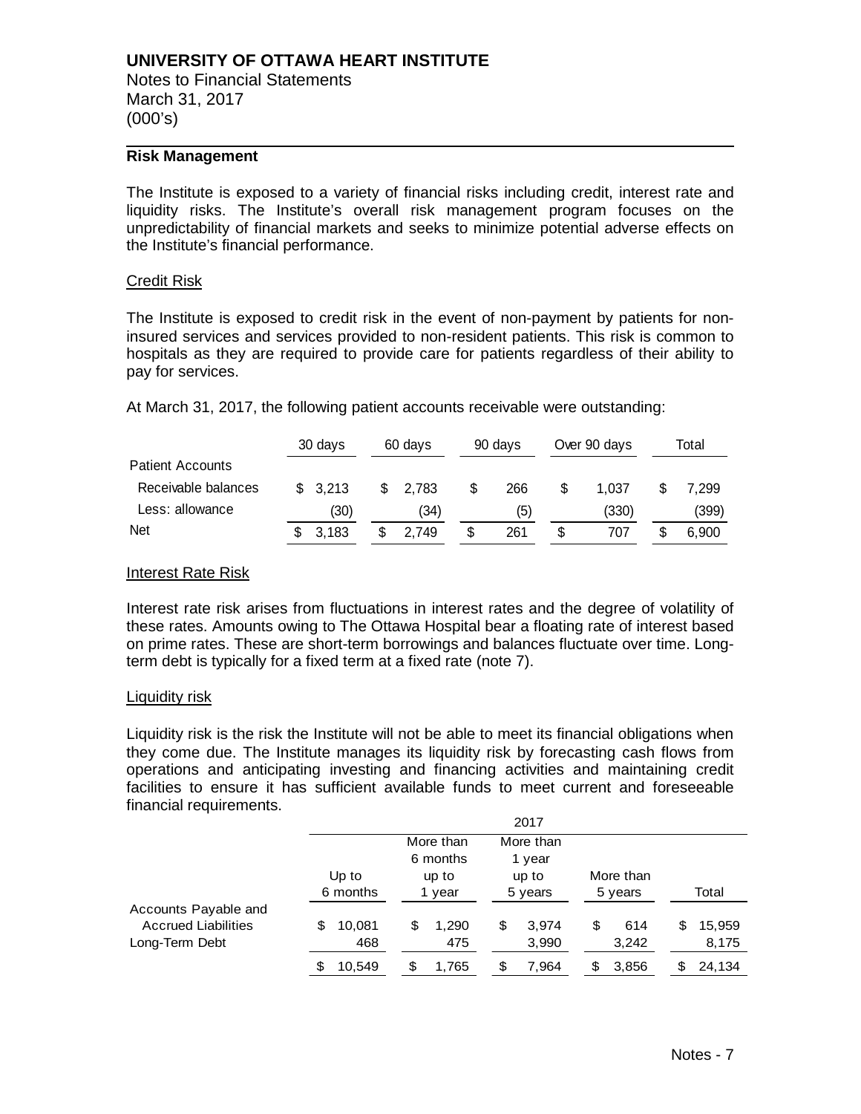#### **Risk Management**

The Institute is exposed to a variety of financial risks including credit, interest rate and liquidity risks. The Institute's overall risk management program focuses on the unpredictability of financial markets and seeks to minimize potential adverse effects on the Institute's financial performance.

#### Credit Risk

(000's)

The Institute is exposed to credit risk in the event of non-payment by patients for noninsured services and services provided to non-resident patients. This risk is common to hospitals as they are required to provide care for patients regardless of their ability to pay for services.

At March 31, 2017, the following patient accounts receivable were outstanding:

|                         | 30 days |   | 60 days |  | 90 days |     | Over 90 days |       | Total |       |
|-------------------------|---------|---|---------|--|---------|-----|--------------|-------|-------|-------|
| <b>Patient Accounts</b> |         |   |         |  |         |     |              |       |       |       |
| Receivable balances     | \$3,213 | S | 2,783   |  |         | 266 | S            | 1.037 |       | 7.299 |
| Less: allowance         | (30)    |   | (34)    |  |         | (5) |              | (330) |       | (399) |
| Net                     | 3,183   |   | 2.749   |  |         | 261 | \$           | 707   |       | 6.900 |

#### Interest Rate Risk

Interest rate risk arises from fluctuations in interest rates and the degree of volatility of these rates. Amounts owing to The Ottawa Hospital bear a floating rate of interest based on prime rates. These are short-term borrowings and balances fluctuate over time. Longterm debt is typically for a fixed term at a fixed rate (note 7).

#### Liquidity risk

Liquidity risk is the risk the Institute will not be able to meet its financial obligations when they come due. The Institute manages its liquidity risk by forecasting cash flows from operations and anticipating investing and financing activities and maintaining credit facilities to ensure it has sufficient available funds to meet current and foreseeable financial requirements.

|                            |             |             | 2017        |            |             |
|----------------------------|-------------|-------------|-------------|------------|-------------|
|                            |             | More than   | More than   |            |             |
|                            |             | 6 months    | 1 year      |            |             |
|                            | Up to       | up to       | up to       | More than  |             |
|                            | 6 months    | l year      | 5 years     | 5 years    | Total       |
| Accounts Payable and       |             |             |             |            |             |
| <b>Accrued Liabilities</b> | 10,081<br>S | 1.290<br>\$ | 3.974<br>\$ | \$<br>614  | 15,959<br>S |
| Long-Term Debt             | 468         | 475         | 3,990       | 3,242      | 8,175       |
|                            | 10.549<br>S | \$<br>1.765 | 7.964       | 3,856<br>S | 24.134      |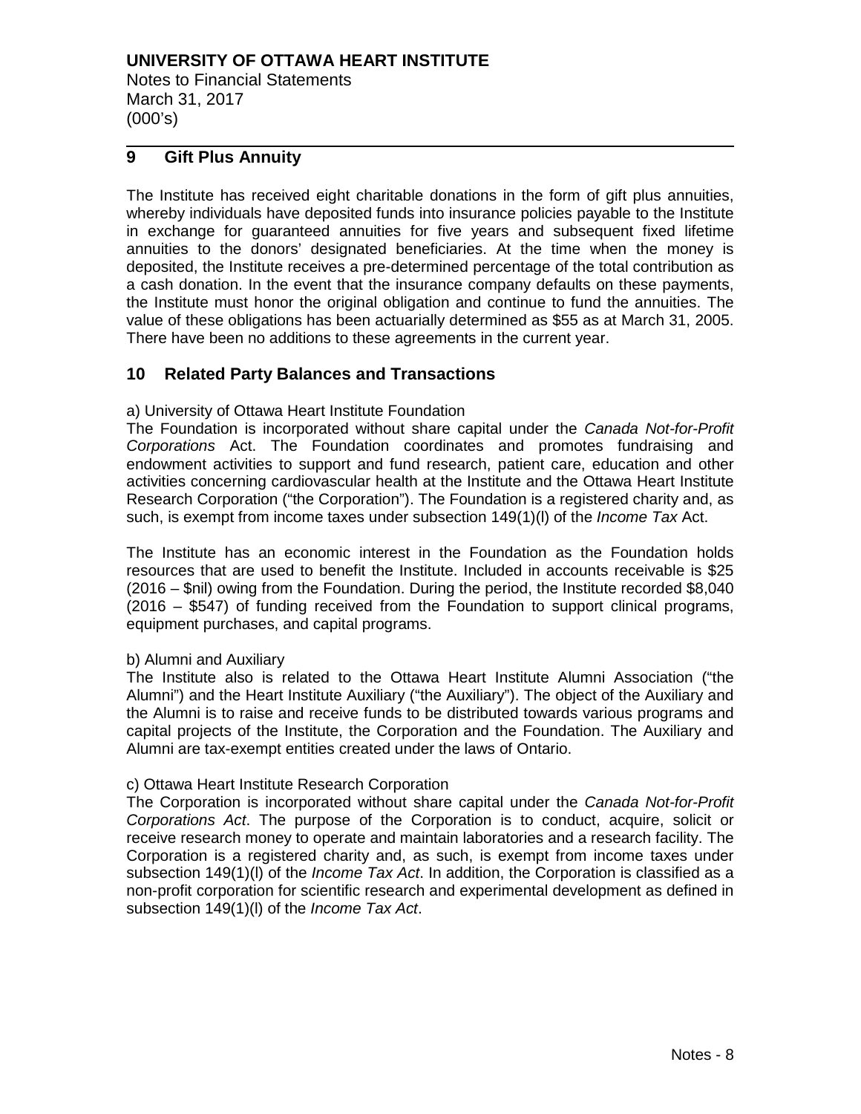#### **UNIVERSITY OF OTTAWA HEART INSTITUTE** Notes to Financial Statements

March 31, 2017 (000's)

## **9 Gift Plus Annuity**

The Institute has received eight charitable donations in the form of gift plus annuities, whereby individuals have deposited funds into insurance policies payable to the Institute in exchange for guaranteed annuities for five years and subsequent fixed lifetime annuities to the donors' designated beneficiaries. At the time when the money is deposited, the Institute receives a pre-determined percentage of the total contribution as a cash donation. In the event that the insurance company defaults on these payments, the Institute must honor the original obligation and continue to fund the annuities. The value of these obligations has been actuarially determined as \$55 as at March 31, 2005. There have been no additions to these agreements in the current year.

## **10 Related Party Balances and Transactions**

#### a) University of Ottawa Heart Institute Foundation

The Foundation is incorporated without share capital under the *Canada Not-for-Profit Corporations* Act. The Foundation coordinates and promotes fundraising and endowment activities to support and fund research, patient care, education and other activities concerning cardiovascular health at the Institute and the Ottawa Heart Institute Research Corporation ("the Corporation"). The Foundation is a registered charity and, as such, is exempt from income taxes under subsection 149(1)(l) of the *Income Tax* Act.

The Institute has an economic interest in the Foundation as the Foundation holds resources that are used to benefit the Institute. Included in accounts receivable is \$25 (2016 – \$nil) owing from the Foundation. During the period, the Institute recorded \$8,040 (2016 – \$547) of funding received from the Foundation to support clinical programs, equipment purchases, and capital programs.

#### b) Alumni and Auxiliary

The Institute also is related to the Ottawa Heart Institute Alumni Association ("the Alumni") and the Heart Institute Auxiliary ("the Auxiliary"). The object of the Auxiliary and the Alumni is to raise and receive funds to be distributed towards various programs and capital projects of the Institute, the Corporation and the Foundation. The Auxiliary and Alumni are tax-exempt entities created under the laws of Ontario.

#### c) Ottawa Heart Institute Research Corporation

The Corporation is incorporated without share capital under the *Canada Not-for-Profit Corporations Act*. The purpose of the Corporation is to conduct, acquire, solicit or receive research money to operate and maintain laboratories and a research facility. The Corporation is a registered charity and, as such, is exempt from income taxes under subsection 149(1)(l) of the *Income Tax Act*. In addition, the Corporation is classified as a non-profit corporation for scientific research and experimental development as defined in subsection 149(1)(l) of the *Income Tax Act*.